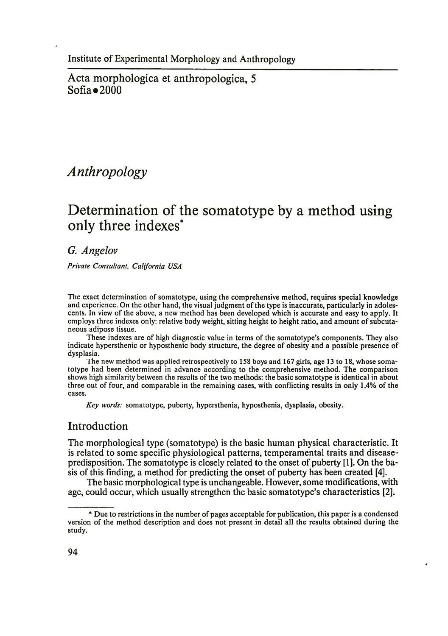Acta morphologica et anthropologica, 5  $Sofia = 2000$ 

# *Anthropology*

# **Determination of the somatotype by a method using only three indexes'**

G. *Angelov*

*Private Consultant, California USA*

The exact determination of somatotype, using the comprehensive method, requires special knowledge and experience. On the other hand, the visual judgment of the type is inaccurate, particularly in adolescents. In view of the above, a new method has been developed which is accurate and easy to apply. It employs three indexes only: relative body weight, sitting height to height ratio, and amount of subcutaneous adipose tissue.

These indexes are of high diagnostic value in terms of the somatotype's components. They also indicate hypersthenic or hyposthenic body structure, the degree of obesity and a possible presence of dysplasia.

The new method was applied retrospectively to 158 boys and 167 girls, age 13 to 18, whose somatotype had been determined in advance according to the comprehensive method. The comparison shows high similarity between the results of the two methods: the basic somatotype is identical in about three out of four, and comparable in the remaining cases, with conflicting results in only 1.4% of the cases.

*Key words:* somatotype, puberty, hypersthenia, hyposthenia, dysplasia, obesity.

# Introduction

The morphological type (somatotype) is the basic human physical characteristic. It is related to some specific physiological patterns, temperamental traits and diseasepredisposition. The somatotype is closely related to the onset of puberty [1]. On the basis of this finding, a method for predicting the onset of puberty has been created [4].

The basic morphological type is unchangeable. However, some modifications, with age, could occur, which usually strengthen the basic somatotype's characteristics [2]. \*

<sup>\*</sup> Due to restrictions in the number of pages acceptable for publication, this paper is a condensed version of the method description and does not present in detail all the results obtained during the study.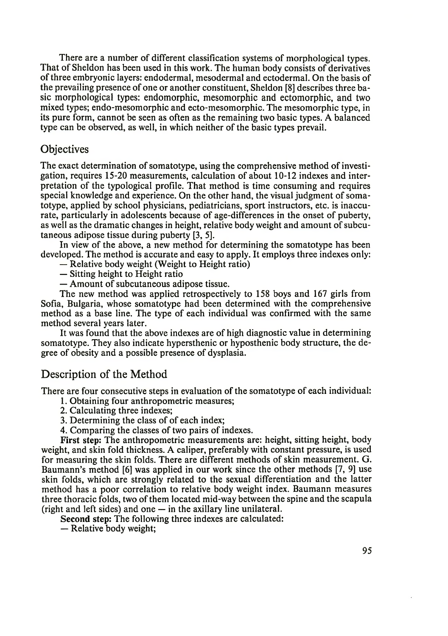There are a number of different classification systems of morphological types. That of Sheldon has been used in this work. The human body consists of derivatives of three embryonic layers: endodermal, mesodermal and ectodermal. On the basis of the prevailing presence of one or another constituent, Sheldon [8] describes three basic morphological types: endomorphic, mesomorphic and ectomorphic, and two mixed types; endo-mesomorphic and ecto-mesomorphic. The mesomorphic type, in its pure form, cannot be seen as often as the remaining two basic types. A balanced type can be observed, as well, in which neither of the basic types prevail.

### **Objectives**

The exact determination of somatotype, using the comprehensive method of investigation, requires 15-20 measurements, calculation of about 10-12 indexes and interpretation of the typological profile. That method is time consuming and requires special knowledge and experience. On the other hand, the visual judgment of somatotype, applied by school physicians, pediatricians, sport instructors, etc. is inaccurate, particularly in adolescents because of age-differences in the onset of puberty, as well as the dramatic changes in height, relative body weight and amount of subcutaneous adipose tissue during puberty [3, 5].

In view of the above, a new method for determining the somatotype has been developed. The method is accurate and easy to apply. It employs three indexes only:

— Relative body weight (Weight to Height ratio)

- Sitting height to Height ratio
- Amount of subcutaneous adipose tissue.

The new method was applied retrospectively to 158 boys and 167 girls from Sofia, Bulgaria, whose somatotype had been determined with the comprehensive method as a base line. The type of each individual was confirmed with the same method several years later.

It was found that the above indexes are of high diagnostic value in determining somatotype. They also indicate hypersthenic or hyposthenic body structure, the degree of obesity and a possible presence of dysplasia.

#### Description of the Method

There are four consecutive steps in evaluation of the somatotype of each individual:

- 1. Obtaining four anthropometric measures;
- 2. Calculating three indexes;
- 3. Determining the class of of each index;
- 4. Comparing the classes of two pairs of indexes.

First step: The anthropometric measurements are: height, sitting height, body weight, and skin fold thickness. A caliper, preferably with constant pressure, is used for measuring the skin folds. There are different methods of skin measurement. G. Baumann's method [6] was applied in our work since the other methods [7, 9] use skin folds, which are strongly related to the sexual differentiation and the latter method has a poor correlation to relative body weight index. Baumann measures three thoracic folds, two of them located mid-way between the spine and the scapula (right and left sides) and one — in the axillary line unilateral.

Second step: The following three indexes are calculated:

— Relative body weight;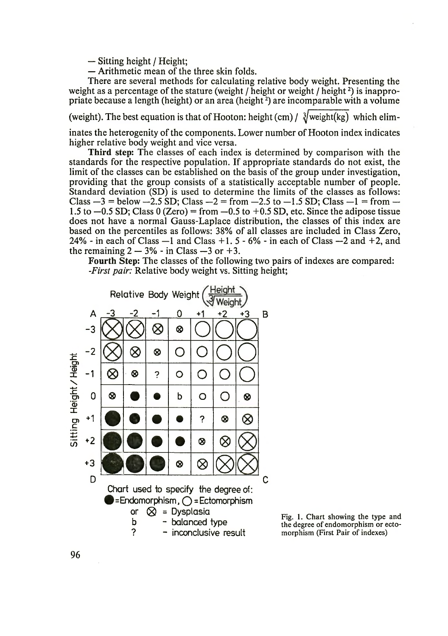— Sitting height / Height;

— Arithmetic mean of the three skin folds.

There are several methods for calculating relative body weight. Presenting the weight as a percentage of the stature (weight  $/$  height or weight  $/$  height<sup>2</sup>) is inappropriate because a length (height) or an area (height $^2$ ) are incomparable with a volume

(weight). The best equation is that of Hooton: height (cm) /  $\frac{3}{2}$  weight(kg) which elim-

inates the heterogenity of the components. Lower number of Hooton index indicates higher relative body weight and vice versa.

Third step: The classes of each index is determined by comparison with the standards for the respective population. If appropriate standards do not exist, the limit of the classes can be established on the basis of the group under investigation, providing that the group consists of a statistically acceptable number of people. Standard deviation (SD) is used to determine the limits of the classes as follows: Class  $-3$  = below  $-2.5$  SD; Class  $-2$  = from  $-2.5$  to  $-1.5$  SD; Class  $-1$  = from  $-$ 1.5 to  $-0.5$  SD; Class 0 (Zero) = from  $-0.5$  to  $+0.5$  SD, etc. Since the adipose tissue does not have a normal Gauss-Laplace distribution, the classes of this index are based on the percentiles as follows: 38% of all classes are included in Class Zero, 24% - in each of Class  $-1$  and Class  $+1$ . 5 - 6% - in each of Class  $-2$  and  $+2$ , and the remaining  $2 - 3\%$  - in Class  $-3$  or  $+3$ .

Fourth Step: The classes of the following two pairs of indexes are compared: *-First pair:* Relative body weight vs. Sitting height;



Fig. 1. Chart showing the type and the degree of endomorphism or ectomorphism (First Pair of indexes)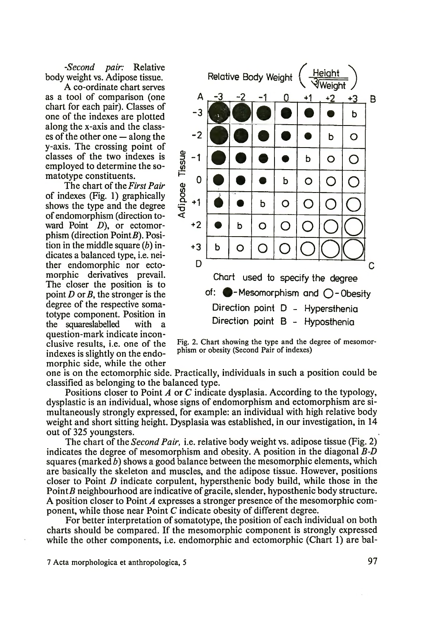*-Second pair:* Relative body weight vs. Adipose tissue.

A co-ordinate chart serves as a tool of comparison (one chart for each pair). Classes of one of the indexes are plotted along the x-axis and the classes of the other one — along the y-axis. The crossing point of classes of the two indexes is employed to determine the somatotype constituents.

The chart of the *First Pair* of indexes (Fig. 1) graphically shows the type and the degree of endomorphism (direction toward Point *D*), or ectomorphism (direction  $Point B$ ). Position in the middle square (*b)* indicates a balanced type, i.e. neither endomorphic nor ectomorphic derivatives prevail. The closer the position is to point  $D$  or  $B$ , the stronger is the degree of the respective somatotype component. Position in the squareslabelled with a question-mark indicate inconclusive results, i.e. one of the indexes is slightly on the endomorphic side, while the other



Fig. 2. Chart showing the type and the degree of mesomorphism or obesity (Second Pair of indexes)

one is on the ectomorphic side. Practically, individuals in such a position could be classified as belonging to the balanced type.

Positions closer to Point *A* or C indicate dysplasia. According to the typology, dysplastic is an individual, whose signs of endomorphism and ectomorphism are simultaneously strongly expressed, for example: an individual with high relative body weight and short sitting height. Dysplasia was established, in our investigation, in 14 out of 325 youngsters.

The chart of the *Second Pair,* i.e. relative body weight vs. adipose tissue (Fig. 2) indicates the degree of mesomorphism and obesity. A position in the diagonal *B-D* squares (marked *b)* shows a good balance between the mesomorphic elements, which are basically the skeleton and muscles, and the adipose tissue. However, positions closer to Point *D* indicate corpulent, hypersthenic body build, while those in the  $PointB$  neighbourhood are indicative of gracile, slender, hyposthenic body structure. A position closer to Point *A* expresses a stronger presence of the mesomorphic component, while those near Point C indicate obesity of different degree.

For better interpretation of somatotype, the position of each individual on both charts should be compared. If the mesomorphic component is strongly expressed while the other components, i.e. endomorphic and ectomorphic (Chart 1) are bal